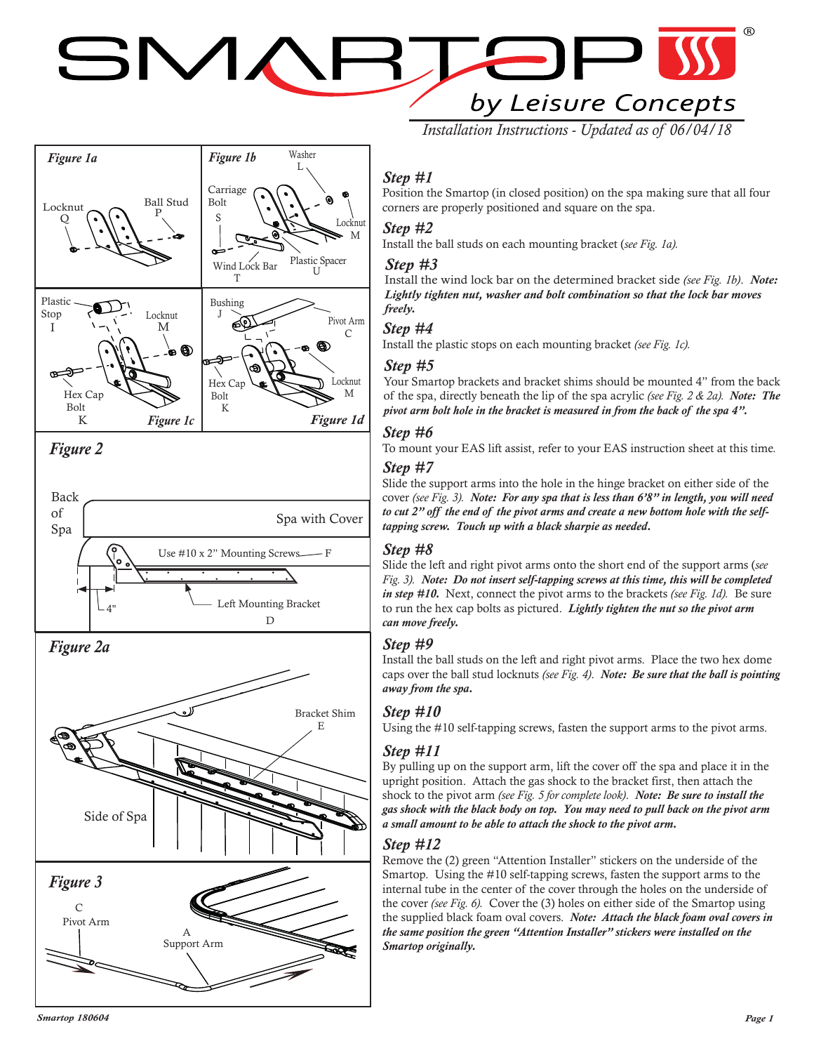# SMAF by Leisure Concepts



Side of Spa Pivot Arm C A Support Arm *Figure 3*

# *Step #1*

Position the Smartop (in closed position) on the spa making sure that all four corners are properly positioned and square on the spa.

*Installation Instructions - Updated as of 06/04/18*

#### *Step #2*

Install the ball studs on each mounting bracket (*see Fig. 1a).*

#### *Step #3*

Install the wind lock bar on the determined bracket side *(see Fig. 1b)*. *Note: Lightly tighten nut, washer and bolt combination so that the lock bar moves freely.*

#### *Step #4*

Install the plastic stops on each mounting bracket *(see Fig. 1c).*

#### *Step #5*

Your Smartop brackets and bracket shims should be mounted 4" from the back of the spa, directly beneath the lip of the spa acrylic *(see Fig. 2 & 2a). Note: The pivot arm bolt hole in the bracket is measured in from the back of the spa 4".*

## *Step #6*

To mount your EAS lift assist, refer to your EAS instruction sheet at this time*.*

#### *Step #7*

Slide the support arms into the hole in the hinge bracket on either side of the cover *(see Fig. 3). Note: For any spa that is less than 6'8" in length, you will need to cut 2" off the end of the pivot arms and create a new bottom hole with the selftapping screw. Touch up with a black sharpie as needed.*

#### *Step #8*

Slide the left and right pivot arms onto the short end of the support arms (*see Fig. 3). Note: Do not insert self-tapping screws at this time, this will be completed in step #10.* Next, connect the pivot arms to the brackets *(see Fig. 1d).* Be sure to run the hex cap bolts as pictured. *Lightly tighten the nut so the pivot arm can move freely.*

#### *Step #9*

Install the ball studs on the left and right pivot arms. Place the two hex dome caps over the ball stud locknuts *(see Fig. 4)*. *Note: Be sure that the ball is pointing away from the spa.*

#### *Step #10*

Using the #10 self-tapping screws, fasten the support arms to the pivot arms.

#### *Step #11*

By pulling up on the support arm, lift the cover off the spa and place it in the upright position. Attach the gas shock to the bracket first, then attach the shock to the pivot arm *(see Fig. 5 for complete look)*. *Note: Be sure to install the gas shock with the black body on top. You may need to pull back on the pivot arm a small amount to be able to attach the shock to the pivot arm.* 

# *Step #12*

Remove the (2) green "Attention Installer" stickers on the underside of the Smartop. Using the #10 self-tapping screws, fasten the support arms to the internal tube in the center of the cover through the holes on the underside of the cover *(see Fig. 6).* Cover the (3) holes on either side of the Smartop using the supplied black foam oval covers. *Note: Attach the black foam oval covers in the same position the green "Attention Installer" stickers were installed on the Smartop originally.*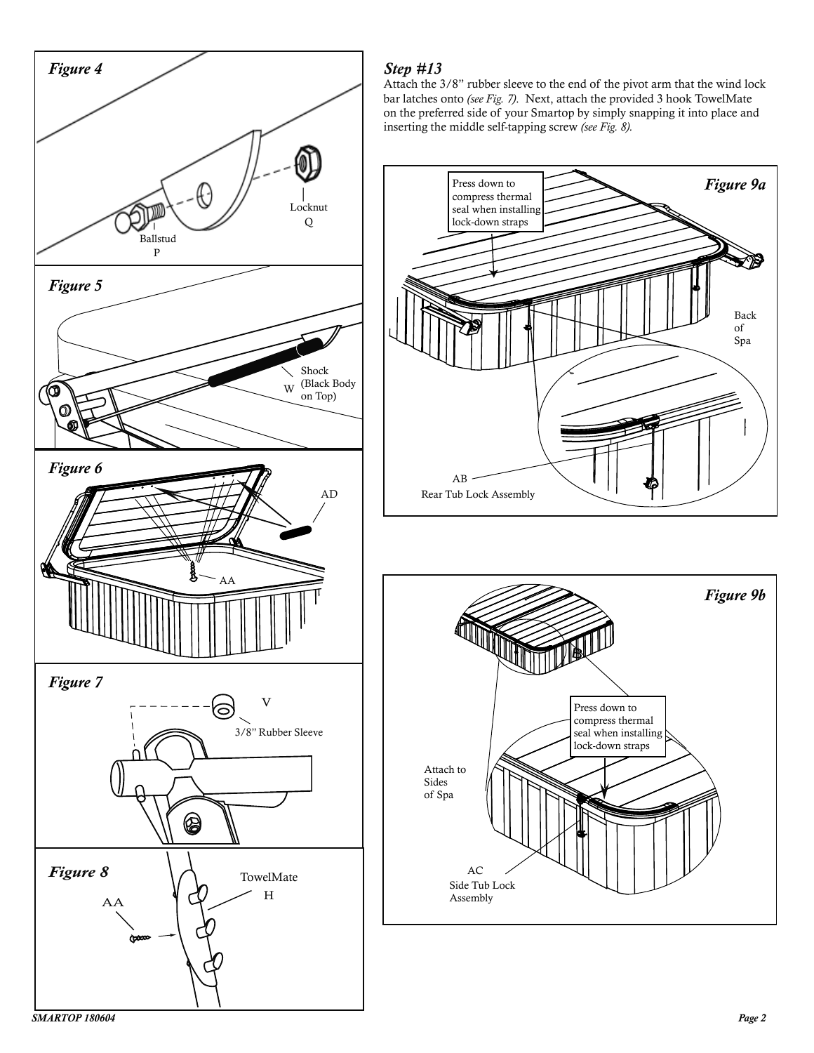

# *Step #13*

Attach the 3/8" rubber sleeve to the end of the pivot arm that the wind lock bar latches onto *(see Fig. 7)*. Next, attach the provided 3 hook TowelMate on the preferred side of your Smartop by simply snapping it into place and inserting the middle self-tapping screw *(see Fig. 8).*



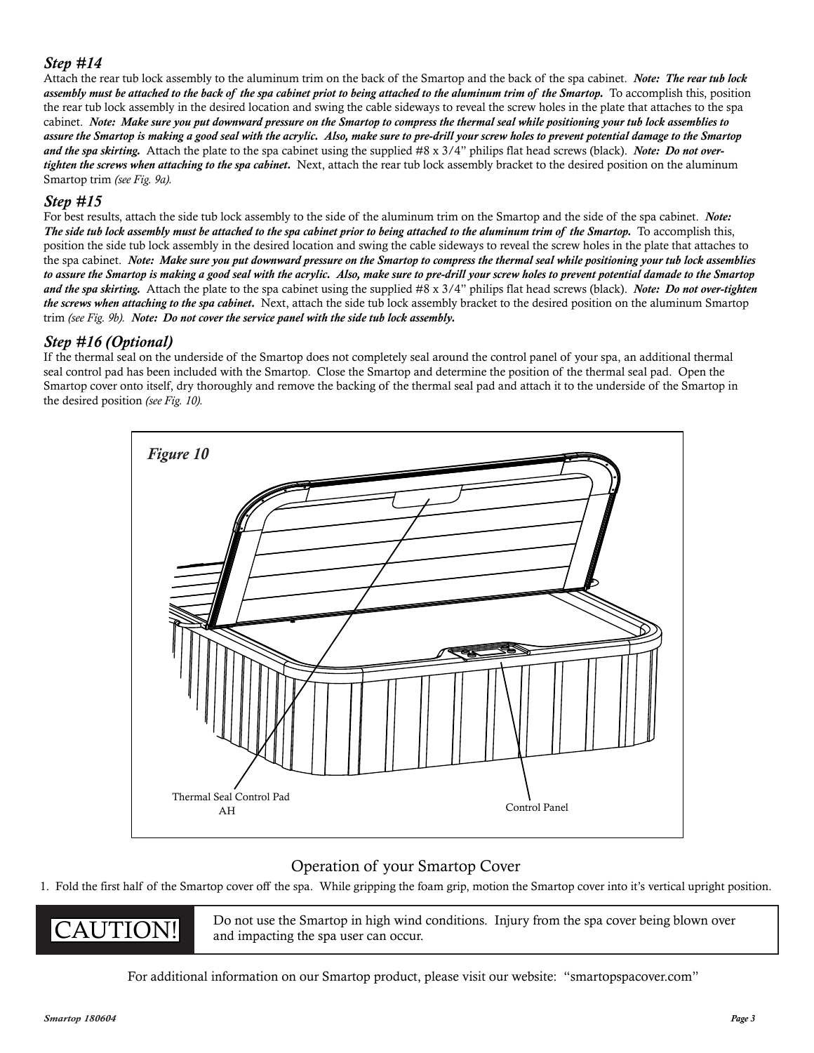## *Step #14*

Attach the rear tub lock assembly to the aluminum trim on the back of the Smartop and the back of the spa cabinet. *Note: The rear tub lock assembly must be attached to the back of the spa cabinet priot to being attached to the aluminum trim of the Smartop.* To accomplish this, position the rear tub lock assembly in the desired location and swing the cable sideways to reveal the screw holes in the plate that attaches to the spa cabinet. *Note: Make sure you put downward pressure on the Smartop to compress the thermal seal while positioning your tub lock assemblies to assure the Smartop is making a good seal with the acrylic. Also, make sure to pre-drill your screw holes to prevent potential damage to the Smartop and the spa skirting.* Attach the plate to the spa cabinet using the supplied #8 x 3/4" philips flat head screws (black). *Note: Do not overtighten the screws when attaching to the spa cabinet.* Next, attach the rear tub lock assembly bracket to the desired position on the aluminum Smartop trim *(see Fig. 9a).*

#### *Step #15*

For best results, attach the side tub lock assembly to the side of the aluminum trim on the Smartop and the side of the spa cabinet. *Note: The side tub lock assembly must be attached to the spa cabinet prior to being attached to the aluminum trim of the Smartop.* To accomplish this, position the side tub lock assembly in the desired location and swing the cable sideways to reveal the screw holes in the plate that attaches to the spa cabinet. *Note: Make sure you put downward pressure on the Smartop to compress the thermal seal while positioning your tub lock assemblies to assure the Smartop is making a good seal with the acrylic. Also, make sure to pre-drill your screw holes to prevent potential damade to the Smartop and the spa skirting.* Attach the plate to the spa cabinet using the supplied #8 x 3/4" philips flat head screws (black). *Note: Do not over-tighten the screws when attaching to the spa cabinet.* Next, attach the side tub lock assembly bracket to the desired position on the aluminum Smartop trim *(see Fig. 9b). Note: Do not cover the service panel with the side tub lock assembly.*

## *Step #16 (Optional)*

If the thermal seal on the underside of the Smartop does not completely seal around the control panel of your spa, an additional thermal seal control pad has been included with the Smartop. Close the Smartop and determine the position of the thermal seal pad. Open the Smartop cover onto itself, dry thoroughly and remove the backing of the thermal seal pad and attach it to the underside of the Smartop in the desired position *(see Fig. 10).*



# Operation of your Smartop Cover

1. Fold the first half of the Smartop cover off the spa. While gripping the foam grip, motion the Smartop cover into it's vertical upright position.

**CAUTION!** Do not use the Smartop in high wind conditions. Injury from the spa cover being blown over and impacting the spa user can occur.

For additional information on our Smartop product, please visit our website: "smartopspacover.com"